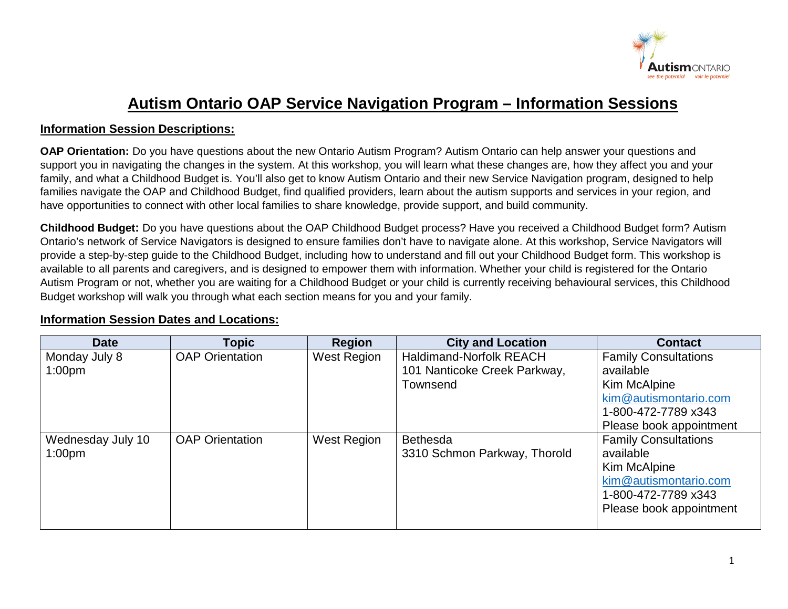

## **Autism Ontario OAP Service Navigation Program – Information Sessions**

## **Information Session Descriptions:**

**OAP Orientation:** Do you have questions about the new Ontario Autism Program? Autism Ontario can help answer your questions and support you in navigating the changes in the system. At this workshop, you will learn what these changes are, how they affect you and your family, and what a Childhood Budget is. You'll also get to know Autism Ontario and their new Service Navigation program, designed to help families navigate the OAP and Childhood Budget, find qualified providers, learn about the autism supports and services in your region, and have opportunities to connect with other local families to share knowledge, provide support, and build community.

**Childhood Budget:** Do you have questions about the OAP Childhood Budget process? Have you received a Childhood Budget form? Autism Ontario's network of Service Navigators is designed to ensure families don't have to navigate alone. At this workshop, Service Navigators will provide a step-by-step guide to the Childhood Budget, including how to understand and fill out your Childhood Budget form. This workshop is available to all parents and caregivers, and is designed to empower them with information. Whether your child is registered for the Ontario Autism Program or not, whether you are waiting for a Childhood Budget or your child is currently receiving behavioural services, this Childhood Budget workshop will walk you through what each section means for you and your family.

## **Information Session Dates and Locations:**

| <b>Date</b>        | <b>Topic</b>           | <b>Region</b> | <b>City and Location</b>       | <b>Contact</b>              |
|--------------------|------------------------|---------------|--------------------------------|-----------------------------|
| Monday July 8      | <b>OAP Orientation</b> | West Region   | <b>Haldimand-Norfolk REACH</b> | <b>Family Consultations</b> |
| 1:00 <sub>pm</sub> |                        |               | 101 Nanticoke Creek Parkway,   | available                   |
|                    |                        |               | Townsend                       | Kim McAlpine                |
|                    |                        |               |                                | kim@autismontario.com       |
|                    |                        |               |                                | 1-800-472-7789 x343         |
|                    |                        |               |                                | Please book appointment     |
| Wednesday July 10  | <b>OAP Orientation</b> | West Region   | <b>Bethesda</b>                | <b>Family Consultations</b> |
| 1:00 <sub>pm</sub> |                        |               | 3310 Schmon Parkway, Thorold   | available                   |
|                    |                        |               |                                | Kim McAlpine                |
|                    |                        |               |                                | kim@autismontario.com       |
|                    |                        |               |                                | 1-800-472-7789 x343         |
|                    |                        |               |                                | Please book appointment     |
|                    |                        |               |                                |                             |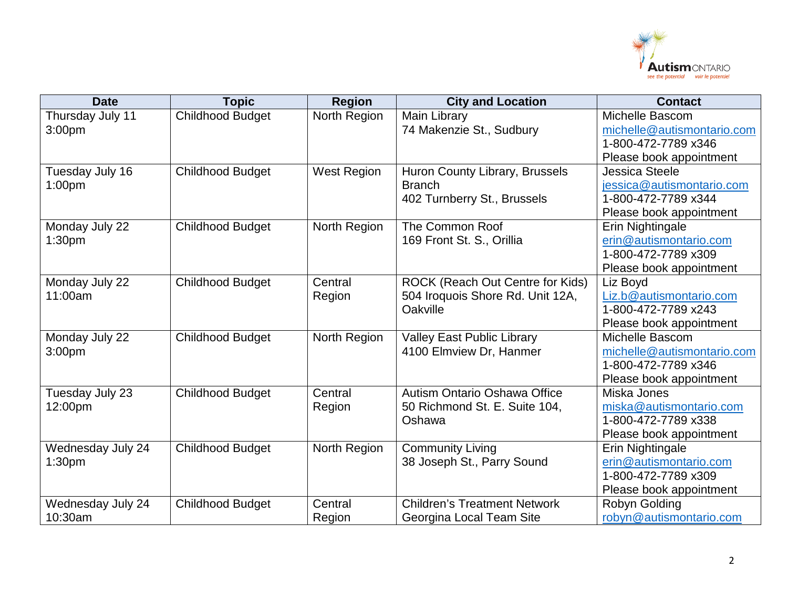

| <b>Date</b>        | <b>Topic</b>            | <b>Region</b>      | <b>City and Location</b>            | <b>Contact</b>             |
|--------------------|-------------------------|--------------------|-------------------------------------|----------------------------|
| Thursday July 11   | Childhood Budget        | North Region       | Main Library                        | Michelle Bascom            |
| 3:00 <sub>pm</sub> |                         |                    | 74 Makenzie St., Sudbury            | michelle@autismontario.com |
|                    |                         |                    |                                     | 1-800-472-7789 x346        |
|                    |                         |                    |                                     | Please book appointment    |
| Tuesday July 16    | <b>Childhood Budget</b> | <b>West Region</b> | Huron County Library, Brussels      | <b>Jessica Steele</b>      |
| 1:00 <sub>pm</sub> |                         |                    | <b>Branch</b>                       | jessica@autismontario.com  |
|                    |                         |                    | 402 Turnberry St., Brussels         | 1-800-472-7789 x344        |
|                    |                         |                    |                                     | Please book appointment    |
| Monday July 22     | <b>Childhood Budget</b> | North Region       | The Common Roof                     | Erin Nightingale           |
| 1:30 <sub>pm</sub> |                         |                    | 169 Front St. S., Orillia           | erin@autismontario.com     |
|                    |                         |                    |                                     | 1-800-472-7789 x309        |
|                    |                         |                    |                                     | Please book appointment    |
| Monday July 22     | <b>Childhood Budget</b> | Central            | ROCK (Reach Out Centre for Kids)    | Liz Boyd                   |
| 11:00am            |                         | Region             | 504 Iroquois Shore Rd. Unit 12A,    | Liz.b@autismontario.com    |
|                    |                         |                    | Oakville                            | 1-800-472-7789 x243        |
|                    |                         |                    |                                     | Please book appointment    |
| Monday July 22     | <b>Childhood Budget</b> | North Region       | <b>Valley East Public Library</b>   | <b>Michelle Bascom</b>     |
| 3:00 <sub>pm</sub> |                         |                    | 4100 Elmview Dr, Hanmer             | michelle@autismontario.com |
|                    |                         |                    |                                     | 1-800-472-7789 x346        |
|                    |                         |                    |                                     | Please book appointment    |
| Tuesday July 23    | <b>Childhood Budget</b> | Central            | Autism Ontario Oshawa Office        | Miska Jones                |
| 12:00pm            |                         | Region             | 50 Richmond St. E. Suite 104,       | miska@autismontario.com    |
|                    |                         |                    | Oshawa                              | 1-800-472-7789 x338        |
|                    |                         |                    |                                     | Please book appointment    |
| Wednesday July 24  | <b>Childhood Budget</b> | North Region       | <b>Community Living</b>             | Erin Nightingale           |
| 1:30 <sub>pm</sub> |                         |                    | 38 Joseph St., Parry Sound          | erin@autismontario.com     |
|                    |                         |                    |                                     | 1-800-472-7789 x309        |
|                    |                         |                    |                                     | Please book appointment    |
| Wednesday July 24  | <b>Childhood Budget</b> | Central            | <b>Children's Treatment Network</b> | Robyn Golding              |
| 10:30am            |                         | Region             | Georgina Local Team Site            | robyn@autismontario.com    |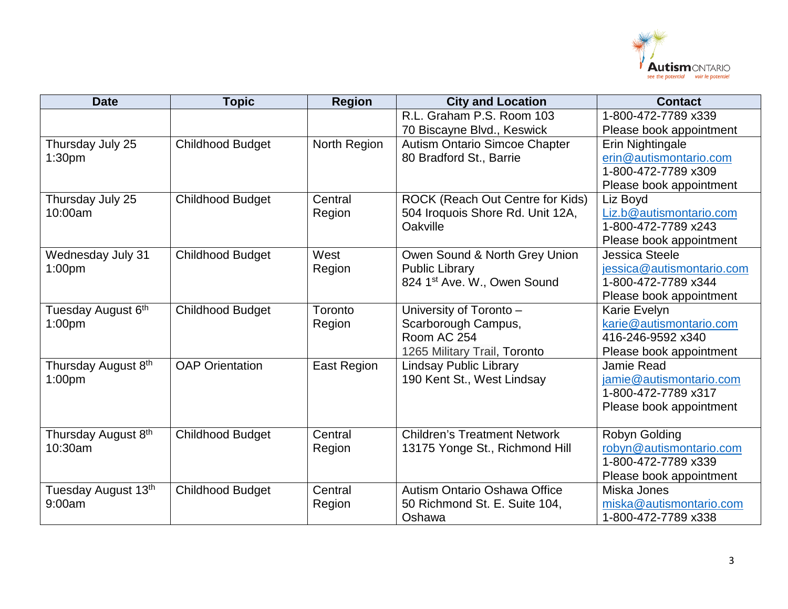

| <b>Date</b>         | <b>Topic</b>            | <b>Region</b>      | <b>City and Location</b>             | <b>Contact</b>            |
|---------------------|-------------------------|--------------------|--------------------------------------|---------------------------|
|                     |                         |                    | R.L. Graham P.S. Room 103            | 1-800-472-7789 x339       |
|                     |                         |                    | 70 Biscayne Blvd., Keswick           | Please book appointment   |
| Thursday July 25    | <b>Childhood Budget</b> | North Region       | <b>Autism Ontario Simcoe Chapter</b> | Erin Nightingale          |
| 1:30 <sub>pm</sub>  |                         |                    | 80 Bradford St., Barrie              | erin@autismontario.com    |
|                     |                         |                    |                                      | 1-800-472-7789 x309       |
|                     |                         |                    |                                      | Please book appointment   |
| Thursday July 25    | <b>Childhood Budget</b> | Central            | ROCK (Reach Out Centre for Kids)     | Liz Boyd                  |
| 10:00am             |                         | Region             | 504 Iroquois Shore Rd. Unit 12A,     | Liz.b@autismontario.com   |
|                     |                         |                    | Oakville                             | 1-800-472-7789 x243       |
|                     |                         |                    |                                      | Please book appointment   |
| Wednesday July 31   | <b>Childhood Budget</b> | West               | Owen Sound & North Grey Union        | Jessica Steele            |
| 1:00 <sub>pm</sub>  |                         | Region             | <b>Public Library</b>                | jessica@autismontario.com |
|                     |                         |                    | 824 1st Ave. W., Owen Sound          | 1-800-472-7789 x344       |
|                     |                         |                    |                                      | Please book appointment   |
| Tuesday August 6th  | <b>Childhood Budget</b> | Toronto            | University of Toronto -              | Karie Evelyn              |
| 1:00 <sub>pm</sub>  |                         | Region             | Scarborough Campus,                  | karie@autismontario.com   |
|                     |                         |                    | Room AC 254                          | 416-246-9592 x340         |
|                     |                         |                    | 1265 Military Trail, Toronto         | Please book appointment   |
| Thursday August 8th | <b>OAP Orientation</b>  | <b>East Region</b> | <b>Lindsay Public Library</b>        | Jamie Read                |
| 1:00 <sub>pm</sub>  |                         |                    | 190 Kent St., West Lindsay           | jamie@autismontario.com   |
|                     |                         |                    |                                      | 1-800-472-7789 x317       |
|                     |                         |                    |                                      | Please book appointment   |
|                     |                         |                    |                                      |                           |
| Thursday August 8th | <b>Childhood Budget</b> | Central            | <b>Children's Treatment Network</b>  | Robyn Golding             |
| 10:30am             |                         | Region             | 13175 Yonge St., Richmond Hill       | robyn@autismontario.com   |
|                     |                         |                    |                                      | 1-800-472-7789 x339       |
|                     |                         |                    |                                      | Please book appointment   |
| Tuesday August 13th | <b>Childhood Budget</b> | Central            | <b>Autism Ontario Oshawa Office</b>  | Miska Jones               |
| 9:00am              |                         | Region             | 50 Richmond St. E. Suite 104,        | miska@autismontario.com   |
|                     |                         |                    | Oshawa                               | 1-800-472-7789 x338       |